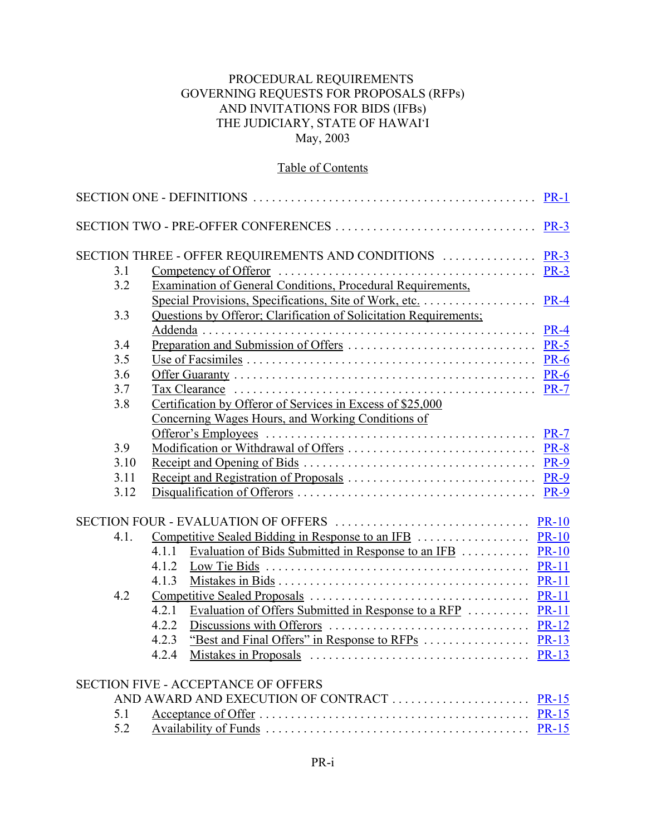### PROCEDURAL REQUIREMENTS GOVERNING REQUESTS FOR PROPOSALS (RFPs) AND INVITATIONS FOR BIDS (IFBs) THE JUDICIARY, STATE OF HAWAI'I May, 2003

# Table of Contents

|      |                                                                     | <b>PR-1</b> |  |  |
|------|---------------------------------------------------------------------|-------------|--|--|
|      | SECTION TWO - PRE-OFFER CONFERENCES                                 | <b>PR-3</b> |  |  |
|      | SECTION THREE - OFFER REQUIREMENTS AND CONDITIONS  PR-3             |             |  |  |
| 3.1  |                                                                     |             |  |  |
| 3.2  | Examination of General Conditions, Procedural Requirements,         |             |  |  |
|      |                                                                     |             |  |  |
| 3.3  | Questions by Offeror; Clarification of Solicitation Requirements;   |             |  |  |
|      |                                                                     |             |  |  |
| 3.4  |                                                                     |             |  |  |
| 3.5  |                                                                     |             |  |  |
| 3.6  |                                                                     |             |  |  |
| 3.7  |                                                                     |             |  |  |
| 3.8  | Certification by Offeror of Services in Excess of \$25,000          |             |  |  |
|      | Concerning Wages Hours, and Working Conditions of                   |             |  |  |
|      |                                                                     |             |  |  |
| 3.9  |                                                                     |             |  |  |
| 3.10 |                                                                     |             |  |  |
| 3.11 |                                                                     |             |  |  |
| 3.12 |                                                                     |             |  |  |
|      |                                                                     |             |  |  |
| 4.1. |                                                                     |             |  |  |
|      | Evaluation of Bids Submitted in Response to an IFB  PR-10<br>4.1.1  |             |  |  |
|      | 4.1.2                                                               |             |  |  |
|      | 4.1.3                                                               |             |  |  |
| 4.2  |                                                                     |             |  |  |
|      | Evaluation of Offers Submitted in Response to a RFP  PR-11<br>4.2.1 |             |  |  |
|      | 4.2.2                                                               |             |  |  |
|      | 4.2.3                                                               |             |  |  |
|      | 4.2.4                                                               |             |  |  |
|      | <b>SECTION FIVE - ACCEPTANCE OF OFFERS</b>                          |             |  |  |
|      |                                                                     |             |  |  |
| 5.1  |                                                                     |             |  |  |
| 5.2  |                                                                     |             |  |  |
|      |                                                                     |             |  |  |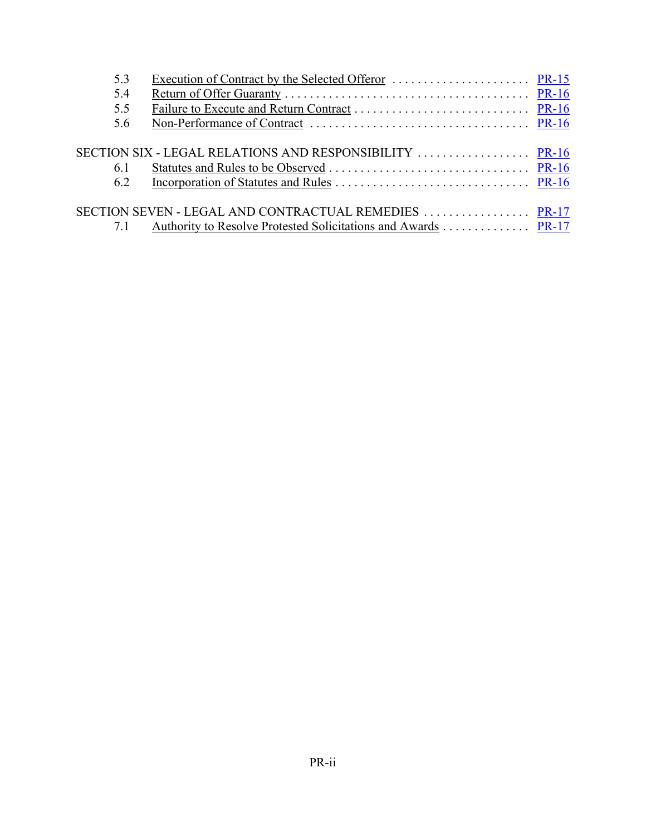| 5.3 |                                                               |  |
|-----|---------------------------------------------------------------|--|
| 5.4 |                                                               |  |
| 5.5 |                                                               |  |
| 5.6 |                                                               |  |
|     |                                                               |  |
|     |                                                               |  |
| 61  |                                                               |  |
| 6.2 |                                                               |  |
|     |                                                               |  |
|     |                                                               |  |
|     | Authority to Resolve Protested Solicitations and Awards PR-17 |  |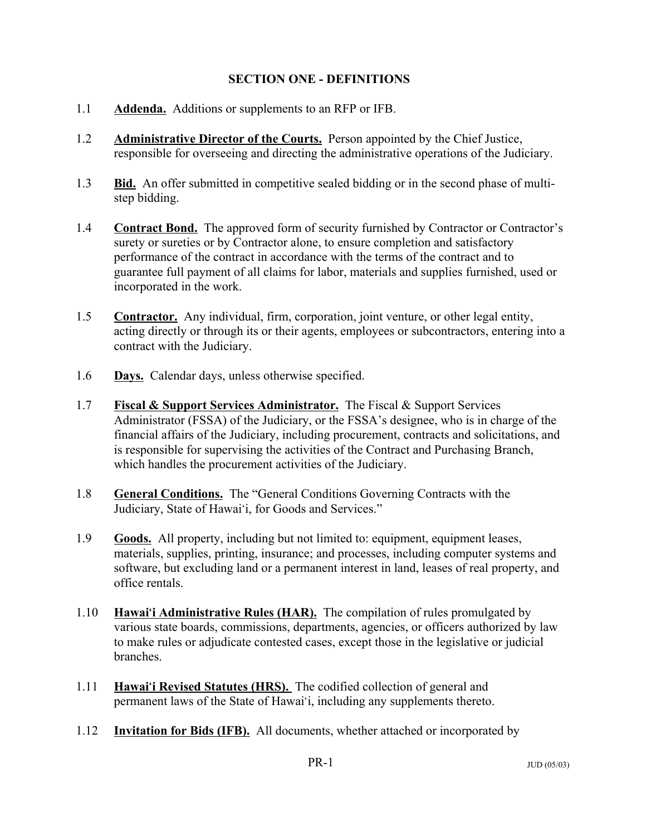#### **SECTION ONE - DEFINITIONS**

- 1.1 **Addenda.** Additions or supplements to an RFP or IFB.
- 1.2 **Administrative Director of the Courts.** Person appointed by the Chief Justice, responsible for overseeing and directing the administrative operations of the Judiciary.
- 1.3 **Bid.** An offer submitted in competitive sealed bidding or in the second phase of multistep bidding.
- 1.4 **Contract Bond.** The approved form of security furnished by Contractor or Contractor's surety or sureties or by Contractor alone, to ensure completion and satisfactory performance of the contract in accordance with the terms of the contract and to guarantee full payment of all claims for labor, materials and supplies furnished, used or incorporated in the work.
- 1.5 **Contractor.** Any individual, firm, corporation, joint venture, or other legal entity, acting directly or through its or their agents, employees or subcontractors, entering into a contract with the Judiciary.
- 1.6 **Days.** Calendar days, unless otherwise specified.
- 1.7 **Fiscal & Support Services Administrator.** The Fiscal & Support Services Administrator (FSSA) of the Judiciary, or the FSSA's designee, who is in charge of the financial affairs of the Judiciary, including procurement, contracts and solicitations, and is responsible for supervising the activities of the Contract and Purchasing Branch, which handles the procurement activities of the Judiciary.
- 1.8 **General Conditions.** The "General Conditions Governing Contracts with the Judiciary, State of Hawai'i, for Goods and Services."
- 1.9 **Goods.** All property, including but not limited to: equipment, equipment leases, materials, supplies, printing, insurance; and processes, including computer systems and software, but excluding land or a permanent interest in land, leases of real property, and office rentals.
- 1.10 **Hawai'i Administrative Rules (HAR).** The compilation of rules promulgated by various state boards, commissions, departments, agencies, or officers authorized by law to make rules or adjudicate contested cases, except those in the legislative or judicial branches.
- 1.11 **Hawai'i Revised Statutes (HRS).** The codified collection of general and permanent laws of the State of Hawai'i, including any supplements thereto.
- 1.12 **Invitation for Bids (IFB).** All documents, whether attached or incorporated by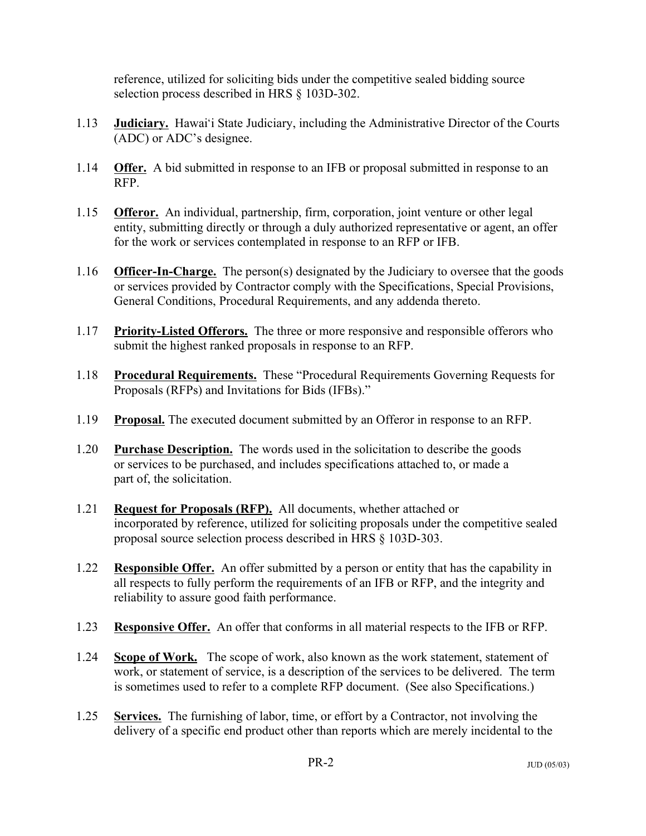reference, utilized for soliciting bids under the competitive sealed bidding source selection process described in HRS § 103D-302.

- 1.13 **Judiciary.** Hawai'i State Judiciary, including the Administrative Director of the Courts (ADC) or ADC's designee.
- 1.14 **Offer.** A bid submitted in response to an IFB or proposal submitted in response to an RFP.
- 1.15 **Offeror.** An individual, partnership, firm, corporation, joint venture or other legal entity, submitting directly or through a duly authorized representative or agent, an offer for the work or services contemplated in response to an RFP or IFB.
- 1.16 **Officer-In-Charge.** The person(s) designated by the Judiciary to oversee that the goods or services provided by Contractor comply with the Specifications, Special Provisions, General Conditions, Procedural Requirements, and any addenda thereto.
- 1.17 **Priority-Listed Offerors.** The three or more responsive and responsible offerors who submit the highest ranked proposals in response to an RFP.
- 1.18 **Procedural Requirements.** These "Procedural Requirements Governing Requests for Proposals (RFPs) and Invitations for Bids (IFBs)."
- 1.19 **Proposal.** The executed document submitted by an Offeror in response to an RFP.
- 1.20 **Purchase Description.** The words used in the solicitation to describe the goods or services to be purchased, and includes specifications attached to, or made a part of, the solicitation.
- 1.21 **Request for Proposals (RFP).** All documents, whether attached or incorporated by reference, utilized for soliciting proposals under the competitive sealed proposal source selection process described in HRS § 103D-303.
- 1.22 **Responsible Offer.** An offer submitted by a person or entity that has the capability in all respects to fully perform the requirements of an IFB or RFP, and the integrity and reliability to assure good faith performance.
- 1.23 **Responsive Offer.** An offer that conforms in all material respects to the IFB or RFP.
- 1.24 **Scope of Work.** The scope of work, also known as the work statement, statement of work, or statement of service, is a description of the services to be delivered. The term is sometimes used to refer to a complete RFP document. (See also Specifications.)
- 1.25 **Services.** The furnishing of labor, time, or effort by a Contractor, not involving the delivery of a specific end product other than reports which are merely incidental to the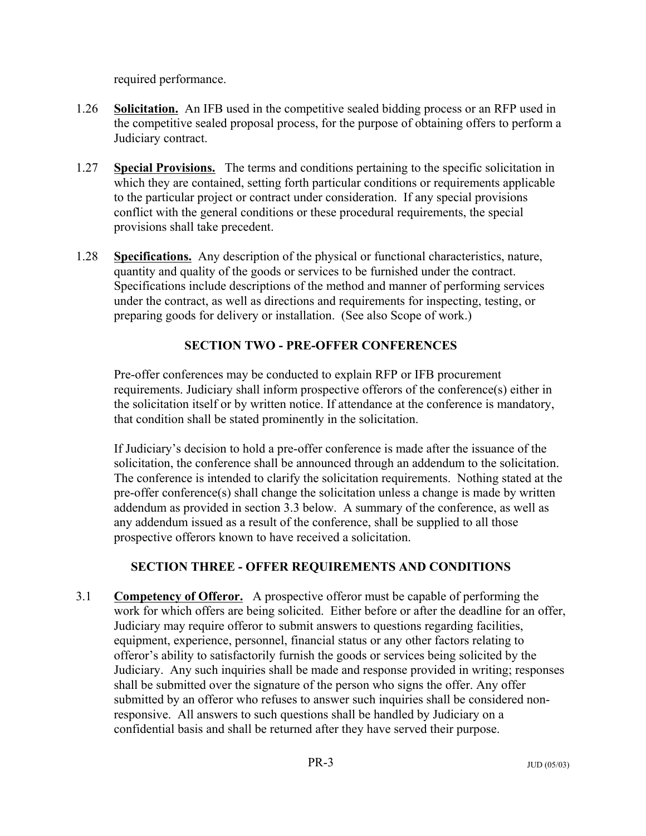required performance.

- 1.26 **Solicitation.** An IFB used in the competitive sealed bidding process or an RFP used in the competitive sealed proposal process, for the purpose of obtaining offers to perform a Judiciary contract.
- 1.27 **Special Provisions.** The terms and conditions pertaining to the specific solicitation in which they are contained, setting forth particular conditions or requirements applicable to the particular project or contract under consideration. If any special provisions conflict with the general conditions or these procedural requirements, the special provisions shall take precedent.
- 1.28 **Specifications.** Any description of the physical or functional characteristics, nature, quantity and quality of the goods or services to be furnished under the contract. Specifications include descriptions of the method and manner of performing services under the contract, as well as directions and requirements for inspecting, testing, or preparing goods for delivery or installation. (See also Scope of work.)

## **SECTION TWO - PRE-OFFER CONFERENCES**

Pre-offer conferences may be conducted to explain RFP or IFB procurement requirements. Judiciary shall inform prospective offerors of the conference(s) either in the solicitation itself or by written notice. If attendance at the conference is mandatory, that condition shall be stated prominently in the solicitation.

If Judiciary's decision to hold a pre-offer conference is made after the issuance of the solicitation, the conference shall be announced through an addendum to the solicitation. The conference is intended to clarify the solicitation requirements. Nothing stated at the pre-offer conference(s) shall change the solicitation unless a change is made by written addendum as provided in section 3.3 below. A summary of the conference, as well as any addendum issued as a result of the conference, shall be supplied to all those prospective offerors known to have received a solicitation.

# **SECTION THREE - OFFER REQUIREMENTS AND CONDITIONS**

3.1 **Competency of Offeror.** A prospective offeror must be capable of performing the work for which offers are being solicited. Either before or after the deadline for an offer, Judiciary may require offeror to submit answers to questions regarding facilities, equipment, experience, personnel, financial status or any other factors relating to offeror's ability to satisfactorily furnish the goods or services being solicited by the Judiciary. Any such inquiries shall be made and response provided in writing; responses shall be submitted over the signature of the person who signs the offer. Any offer submitted by an offeror who refuses to answer such inquiries shall be considered nonresponsive. All answers to such questions shall be handled by Judiciary on a confidential basis and shall be returned after they have served their purpose.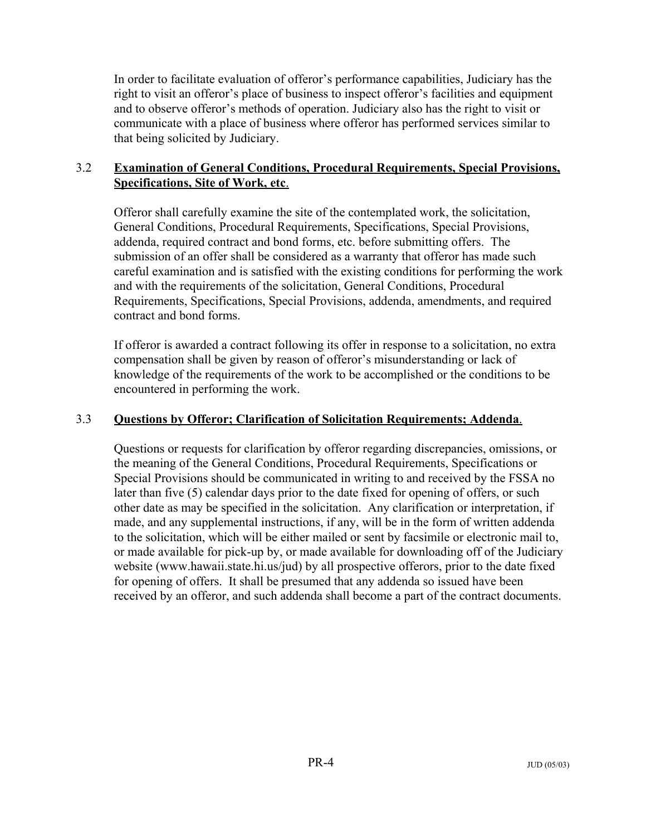In order to facilitate evaluation of offeror's performance capabilities, Judiciary has the right to visit an offeror's place of business to inspect offeror's facilities and equipment and to observe offeror's methods of operation. Judiciary also has the right to visit or communicate with a place of business where offeror has performed services similar to that being solicited by Judiciary.

### 3.2 **Examination of General Conditions, Procedural Requirements, Special Provisions, Specifications, Site of Work, etc**.

Offeror shall carefully examine the site of the contemplated work, the solicitation, General Conditions, Procedural Requirements, Specifications, Special Provisions, addenda, required contract and bond forms, etc. before submitting offers. The submission of an offer shall be considered as a warranty that offeror has made such careful examination and is satisfied with the existing conditions for performing the work and with the requirements of the solicitation, General Conditions, Procedural Requirements, Specifications, Special Provisions, addenda, amendments, and required contract and bond forms.

If offeror is awarded a contract following its offer in response to a solicitation, no extra compensation shall be given by reason of offeror's misunderstanding or lack of knowledge of the requirements of the work to be accomplished or the conditions to be encountered in performing the work.

#### 3.3 **Questions by Offeror; Clarification of Solicitation Requirements; Addenda**.

Questions or requests for clarification by offeror regarding discrepancies, omissions, or the meaning of the General Conditions, Procedural Requirements, Specifications or Special Provisions should be communicated in writing to and received by the FSSA no later than five (5) calendar days prior to the date fixed for opening of offers, or such other date as may be specified in the solicitation. Any clarification or interpretation, if made, and any supplemental instructions, if any, will be in the form of written addenda to the solicitation, which will be either mailed or sent by facsimile or electronic mail to, or made available for pick-up by, or made available for downloading off of the Judiciary website (www.hawaii.state.hi.us/jud) by all prospective offerors, prior to the date fixed for opening of offers. It shall be presumed that any addenda so issued have been received by an offeror, and such addenda shall become a part of the contract documents.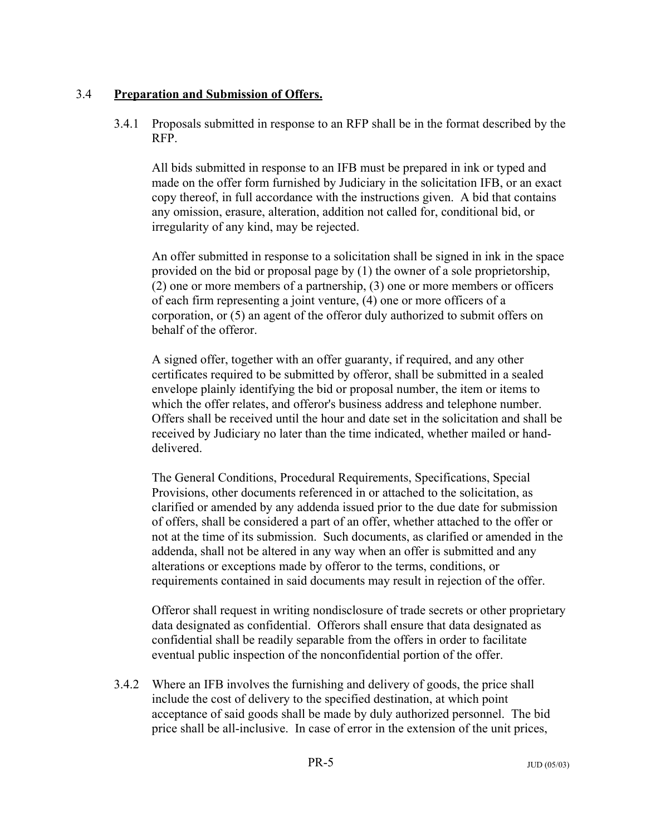#### 3.4 **Preparation and Submission of Offers.**

3.4.1 Proposals submitted in response to an RFP shall be in the format described by the RFP.

All bids submitted in response to an IFB must be prepared in ink or typed and made on the offer form furnished by Judiciary in the solicitation IFB, or an exact copy thereof, in full accordance with the instructions given. A bid that contains any omission, erasure, alteration, addition not called for, conditional bid, or irregularity of any kind, may be rejected.

An offer submitted in response to a solicitation shall be signed in ink in the space provided on the bid or proposal page by (1) the owner of a sole proprietorship, (2) one or more members of a partnership, (3) one or more members or officers of each firm representing a joint venture, (4) one or more officers of a corporation, or (5) an agent of the offeror duly authorized to submit offers on behalf of the offeror.

A signed offer, together with an offer guaranty, if required, and any other certificates required to be submitted by offeror, shall be submitted in a sealed envelope plainly identifying the bid or proposal number, the item or items to which the offer relates, and offeror's business address and telephone number. Offers shall be received until the hour and date set in the solicitation and shall be received by Judiciary no later than the time indicated, whether mailed or handdelivered.

The General Conditions, Procedural Requirements, Specifications, Special Provisions, other documents referenced in or attached to the solicitation, as clarified or amended by any addenda issued prior to the due date for submission of offers, shall be considered a part of an offer, whether attached to the offer or not at the time of its submission. Such documents, as clarified or amended in the addenda, shall not be altered in any way when an offer is submitted and any alterations or exceptions made by offeror to the terms, conditions, or requirements contained in said documents may result in rejection of the offer.

Offeror shall request in writing nondisclosure of trade secrets or other proprietary data designated as confidential. Offerors shall ensure that data designated as confidential shall be readily separable from the offers in order to facilitate eventual public inspection of the nonconfidential portion of the offer.

3.4.2 Where an IFB involves the furnishing and delivery of goods, the price shall include the cost of delivery to the specified destination, at which point acceptance of said goods shall be made by duly authorized personnel. The bid price shall be all-inclusive. In case of error in the extension of the unit prices,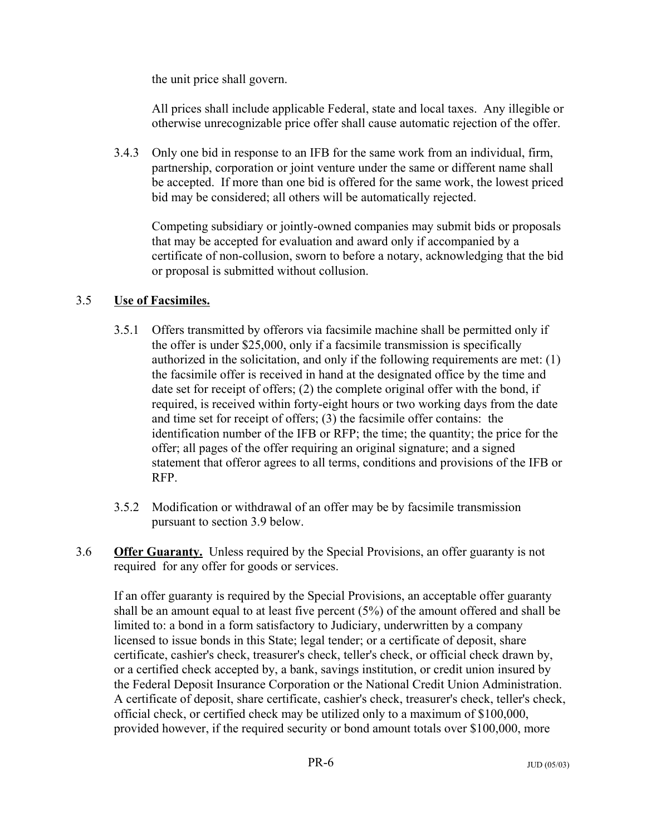the unit price shall govern.

All prices shall include applicable Federal, state and local taxes. Any illegible or otherwise unrecognizable price offer shall cause automatic rejection of the offer.

3.4.3 Only one bid in response to an IFB for the same work from an individual, firm, partnership, corporation or joint venture under the same or different name shall be accepted. If more than one bid is offered for the same work, the lowest priced bid may be considered; all others will be automatically rejected.

Competing subsidiary or jointly-owned companies may submit bids or proposals that may be accepted for evaluation and award only if accompanied by a certificate of non-collusion, sworn to before a notary, acknowledging that the bid or proposal is submitted without collusion.

### 3.5 **Use of Facsimiles.**

- 3.5.1 Offers transmitted by offerors via facsimile machine shall be permitted only if the offer is under \$25,000, only if a facsimile transmission is specifically authorized in the solicitation, and only if the following requirements are met: (1) the facsimile offer is received in hand at the designated office by the time and date set for receipt of offers; (2) the complete original offer with the bond, if required, is received within forty-eight hours or two working days from the date and time set for receipt of offers; (3) the facsimile offer contains: the identification number of the IFB or RFP; the time; the quantity; the price for the offer; all pages of the offer requiring an original signature; and a signed statement that offeror agrees to all terms, conditions and provisions of the IFB or RFP.
- 3.5.2 Modification or withdrawal of an offer may be by facsimile transmission pursuant to section 3.9 below.
- 3.6 **Offer Guaranty.** Unless required by the Special Provisions, an offer guaranty is not required for any offer for goods or services.

If an offer guaranty is required by the Special Provisions, an acceptable offer guaranty shall be an amount equal to at least five percent  $(5%)$  of the amount offered and shall be limited to: a bond in a form satisfactory to Judiciary, underwritten by a company licensed to issue bonds in this State; legal tender; or a certificate of deposit, share certificate, cashier's check, treasurer's check, teller's check, or official check drawn by, or a certified check accepted by, a bank, savings institution, or credit union insured by the Federal Deposit Insurance Corporation or the National Credit Union Administration. A certificate of deposit, share certificate, cashier's check, treasurer's check, teller's check, official check, or certified check may be utilized only to a maximum of \$100,000, provided however, if the required security or bond amount totals over \$100,000, more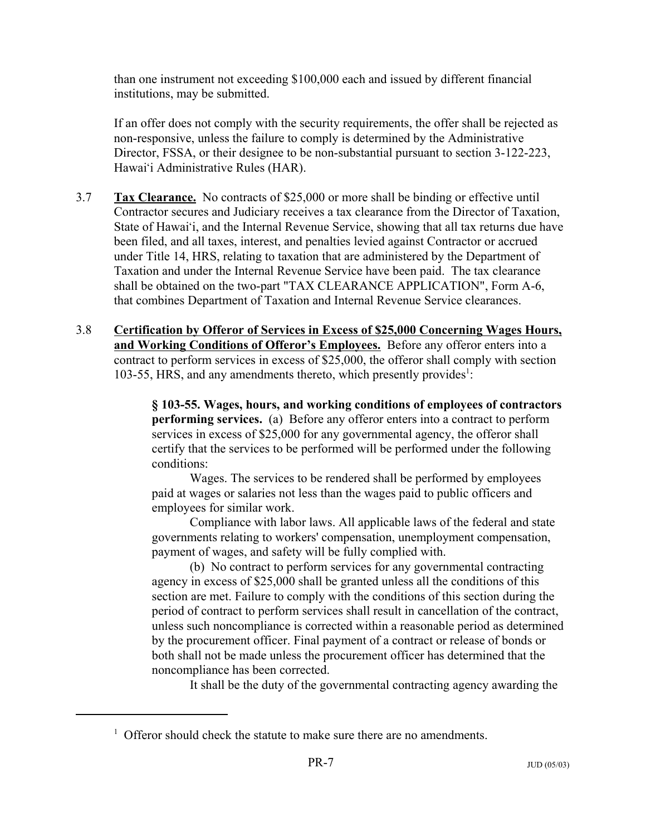than one instrument not exceeding \$100,000 each and issued by different financial institutions, may be submitted.

If an offer does not comply with the security requirements, the offer shall be rejected as non-responsive, unless the failure to comply is determined by the Administrative Director, FSSA, or their designee to be non-substantial pursuant to section 3-122-223, Hawai'i Administrative Rules (HAR).

- 3.7 **Tax Clearance.** No contracts of \$25,000 or more shall be binding or effective until Contractor secures and Judiciary receives a tax clearance from the Director of Taxation, State of Hawai'i, and the Internal Revenue Service, showing that all tax returns due have been filed, and all taxes, interest, and penalties levied against Contractor or accrued under Title 14, HRS, relating to taxation that are administered by the Department of Taxation and under the Internal Revenue Service have been paid. The tax clearance shall be obtained on the two-part "TAX CLEARANCE APPLICATION", Form A-6, that combines Department of Taxation and Internal Revenue Service clearances.
- 3.8 **Certification by Offeror of Services in Excess of \$25,000 Concerning Wages Hours, and Working Conditions of Offeror's Employees.** Before any offeror enters into a contract to perform services in excess of \$25,000, the offeror shall comply with section 103-55, HRS, and any amendments thereto, which presently provides<sup>1</sup>:

**§ 103-55. Wages, hours, and working conditions of employees of contractors performing services.** (a) Before any offeror enters into a contract to perform services in excess of \$25,000 for any governmental agency, the offeror shall certify that the services to be performed will be performed under the following conditions:

Wages. The services to be rendered shall be performed by employees paid at wages or salaries not less than the wages paid to public officers and employees for similar work.

Compliance with labor laws. All applicable laws of the federal and state governments relating to workers' compensation, unemployment compensation, payment of wages, and safety will be fully complied with.

(b) No contract to perform services for any governmental contracting agency in excess of \$25,000 shall be granted unless all the conditions of this section are met. Failure to comply with the conditions of this section during the period of contract to perform services shall result in cancellation of the contract, unless such noncompliance is corrected within a reasonable period as determined by the procurement officer. Final payment of a contract or release of bonds or both shall not be made unless the procurement officer has determined that the noncompliance has been corrected.

It shall be the duty of the governmental contracting agency awarding the

<sup>&</sup>lt;sup>1</sup> Offeror should check the statute to make sure there are no amendments.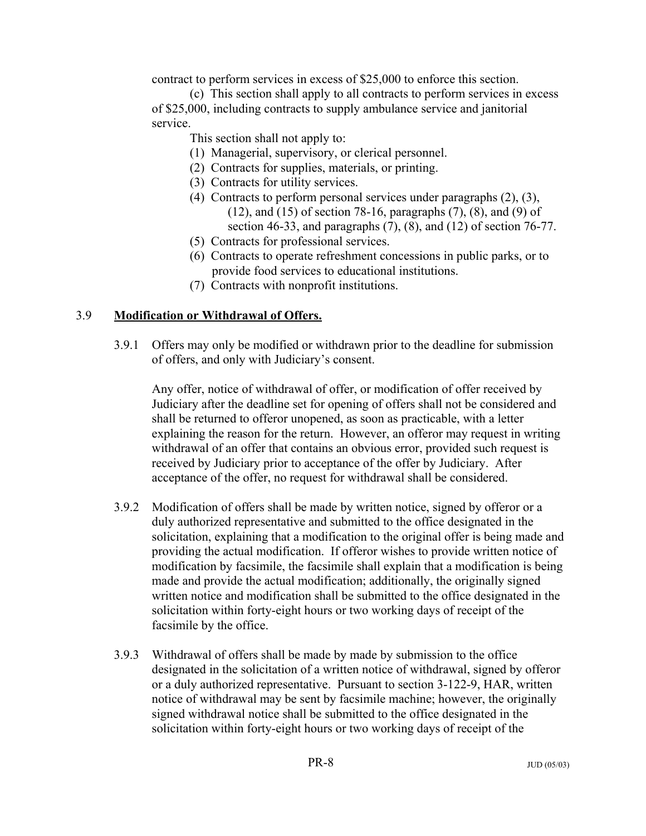contract to perform services in excess of \$25,000 to enforce this section.

(c) This section shall apply to all contracts to perform services in excess of \$25,000, including contracts to supply ambulance service and janitorial service.

This section shall not apply to:

- (1) Managerial, supervisory, or clerical personnel.
- (2) Contracts for supplies, materials, or printing.
- (3) Contracts for utility services.
- (4) Contracts to perform personal services under paragraphs (2), (3), (12), and (15) of section 78-16, paragraphs (7), (8), and (9) of section 46-33, and paragraphs  $(7)$ ,  $(8)$ , and  $(12)$  of section 76-77.
- (5) Contracts for professional services.
- (6) Contracts to operate refreshment concessions in public parks, or to provide food services to educational institutions.
- (7) Contracts with nonprofit institutions.

#### 3.9 **Modification or Withdrawal of Offers.**

3.9.1 Offers may only be modified or withdrawn prior to the deadline for submission of offers, and only with Judiciary's consent.

Any offer, notice of withdrawal of offer, or modification of offer received by Judiciary after the deadline set for opening of offers shall not be considered and shall be returned to offeror unopened, as soon as practicable, with a letter explaining the reason for the return. However, an offeror may request in writing withdrawal of an offer that contains an obvious error, provided such request is received by Judiciary prior to acceptance of the offer by Judiciary. After acceptance of the offer, no request for withdrawal shall be considered.

- 3.9.2 Modification of offers shall be made by written notice, signed by offeror or a duly authorized representative and submitted to the office designated in the solicitation, explaining that a modification to the original offer is being made and providing the actual modification. If offeror wishes to provide written notice of modification by facsimile, the facsimile shall explain that a modification is being made and provide the actual modification; additionally, the originally signed written notice and modification shall be submitted to the office designated in the solicitation within forty-eight hours or two working days of receipt of the facsimile by the office.
- 3.9.3 Withdrawal of offers shall be made by made by submission to the office designated in the solicitation of a written notice of withdrawal, signed by offeror or a duly authorized representative. Pursuant to section 3-122-9, HAR, written notice of withdrawal may be sent by facsimile machine; however, the originally signed withdrawal notice shall be submitted to the office designated in the solicitation within forty-eight hours or two working days of receipt of the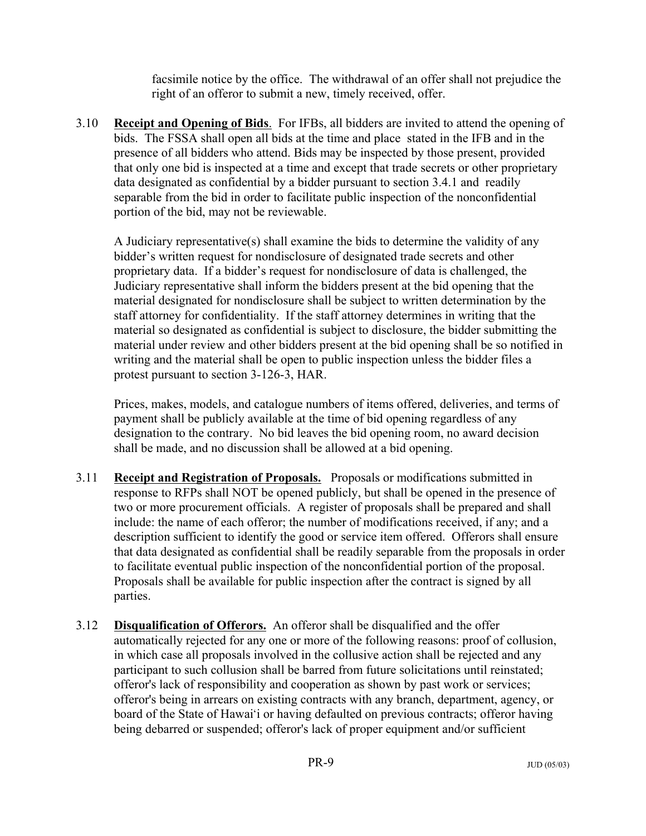facsimile notice by the office. The withdrawal of an offer shall not prejudice the right of an offeror to submit a new, timely received, offer.

3.10 **Receipt and Opening of Bids**. For IFBs, all bidders are invited to attend the opening of bids. The FSSA shall open all bids at the time and place stated in the IFB and in the presence of all bidders who attend. Bids may be inspected by those present, provided that only one bid is inspected at a time and except that trade secrets or other proprietary data designated as confidential by a bidder pursuant to section 3.4.1 and readily separable from the bid in order to facilitate public inspection of the nonconfidential portion of the bid, may not be reviewable.

A Judiciary representative(s) shall examine the bids to determine the validity of any bidder's written request for nondisclosure of designated trade secrets and other proprietary data. If a bidder's request for nondisclosure of data is challenged, the Judiciary representative shall inform the bidders present at the bid opening that the material designated for nondisclosure shall be subject to written determination by the staff attorney for confidentiality. If the staff attorney determines in writing that the material so designated as confidential is subject to disclosure, the bidder submitting the material under review and other bidders present at the bid opening shall be so notified in writing and the material shall be open to public inspection unless the bidder files a protest pursuant to section 3-126-3, HAR.

Prices, makes, models, and catalogue numbers of items offered, deliveries, and terms of payment shall be publicly available at the time of bid opening regardless of any designation to the contrary. No bid leaves the bid opening room, no award decision shall be made, and no discussion shall be allowed at a bid opening.

- 3.11 **Receipt and Registration of Proposals.** Proposals or modifications submitted in response to RFPs shall NOT be opened publicly, but shall be opened in the presence of two or more procurement officials. A register of proposals shall be prepared and shall include: the name of each offeror; the number of modifications received, if any; and a description sufficient to identify the good or service item offered. Offerors shall ensure that data designated as confidential shall be readily separable from the proposals in order to facilitate eventual public inspection of the nonconfidential portion of the proposal. Proposals shall be available for public inspection after the contract is signed by all parties.
- 3.12 **Disqualification of Offerors.** An offeror shall be disqualified and the offer automatically rejected for any one or more of the following reasons: proof of collusion, in which case all proposals involved in the collusive action shall be rejected and any participant to such collusion shall be barred from future solicitations until reinstated; offeror's lack of responsibility and cooperation as shown by past work or services; offeror's being in arrears on existing contracts with any branch, department, agency, or board of the State of Hawai'i or having defaulted on previous contracts; offeror having being debarred or suspended; offeror's lack of proper equipment and/or sufficient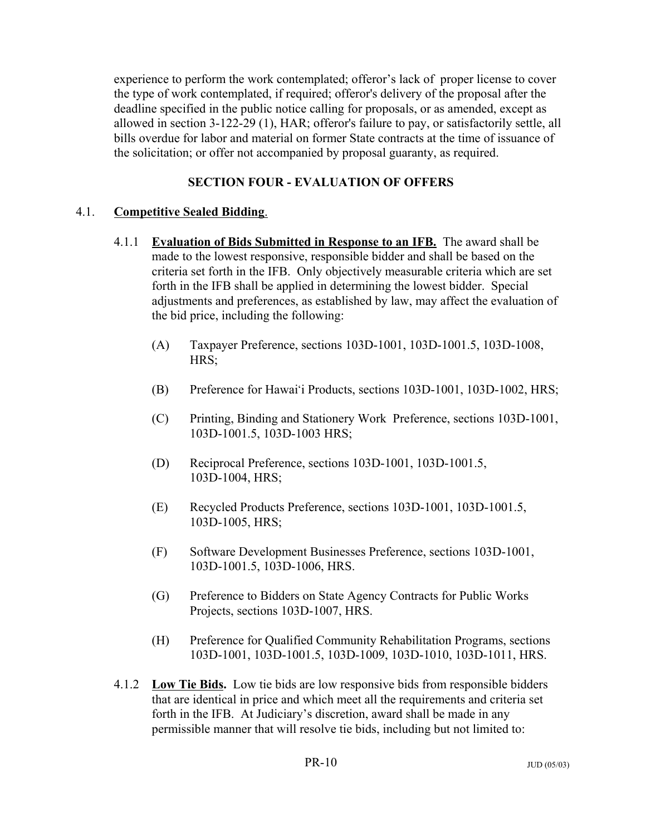experience to perform the work contemplated; offeror's lack of proper license to cover the type of work contemplated, if required; offeror's delivery of the proposal after the deadline specified in the public notice calling for proposals, or as amended, except as allowed in section 3-122-29 (1), HAR; offeror's failure to pay, or satisfactorily settle, all bills overdue for labor and material on former State contracts at the time of issuance of the solicitation; or offer not accompanied by proposal guaranty, as required.

# **SECTION FOUR - EVALUATION OF OFFERS**

### 4.1. **Competitive Sealed Bidding**.

- 4.1.1 **Evaluation of Bids Submitted in Response to an IFB.** The award shall be made to the lowest responsive, responsible bidder and shall be based on the criteria set forth in the IFB. Only objectively measurable criteria which are set forth in the IFB shall be applied in determining the lowest bidder. Special adjustments and preferences, as established by law, may affect the evaluation of the bid price, including the following:
	- (A) Taxpayer Preference, sections 103D-1001, 103D-1001.5, 103D-1008, HRS;
	- (B) Preference for Hawai'i Products, sections 103D-1001, 103D-1002, HRS;
	- (C) Printing, Binding and Stationery Work Preference, sections 103D-1001, 103D-1001.5, 103D-1003 HRS;
	- (D) Reciprocal Preference, sections 103D-1001, 103D-1001.5, 103D-1004, HRS;
	- (E) Recycled Products Preference, sections 103D-1001, 103D-1001.5, 103D-1005, HRS;
	- (F) Software Development Businesses Preference, sections 103D-1001, 103D-1001.5, 103D-1006, HRS.
	- (G) Preference to Bidders on State Agency Contracts for Public Works Projects, sections 103D-1007, HRS.
	- (H) Preference for Qualified Community Rehabilitation Programs, sections 103D-1001, 103D-1001.5, 103D-1009, 103D-1010, 103D-1011, HRS.
- 4.1.2 **Low Tie Bids.** Low tie bids are low responsive bids from responsible bidders that are identical in price and which meet all the requirements and criteria set forth in the IFB. At Judiciary's discretion, award shall be made in any permissible manner that will resolve tie bids, including but not limited to: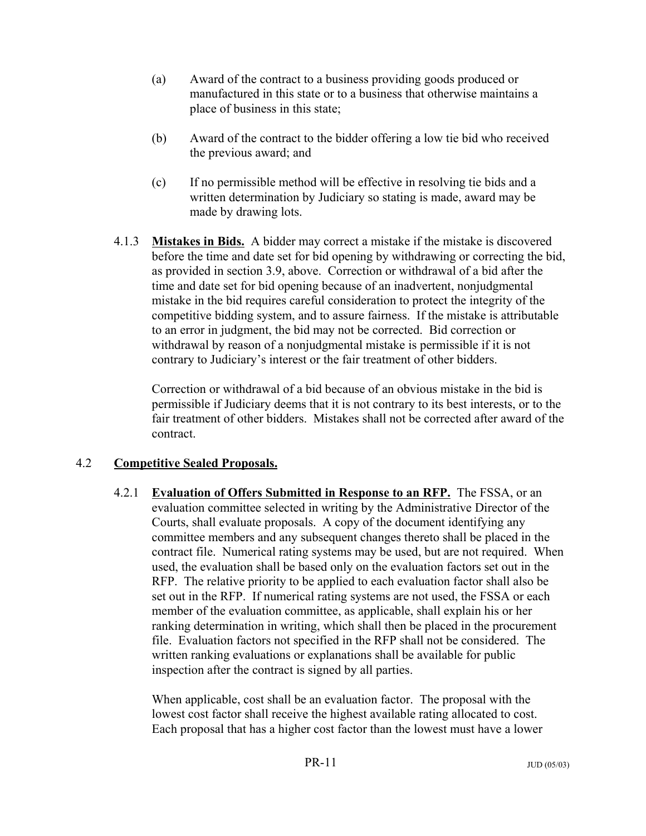- (a) Award of the contract to a business providing goods produced or manufactured in this state or to a business that otherwise maintains a place of business in this state;
- (b) Award of the contract to the bidder offering a low tie bid who received the previous award; and
- (c) If no permissible method will be effective in resolving tie bids and a written determination by Judiciary so stating is made, award may be made by drawing lots.
- 4.1.3 **Mistakes in Bids.** A bidder may correct a mistake if the mistake is discovered before the time and date set for bid opening by withdrawing or correcting the bid, as provided in section 3.9, above. Correction or withdrawal of a bid after the time and date set for bid opening because of an inadvertent, nonjudgmental mistake in the bid requires careful consideration to protect the integrity of the competitive bidding system, and to assure fairness. If the mistake is attributable to an error in judgment, the bid may not be corrected. Bid correction or withdrawal by reason of a nonjudgmental mistake is permissible if it is not contrary to Judiciary's interest or the fair treatment of other bidders.

Correction or withdrawal of a bid because of an obvious mistake in the bid is permissible if Judiciary deems that it is not contrary to its best interests, or to the fair treatment of other bidders. Mistakes shall not be corrected after award of the contract.

### 4.2 **Competitive Sealed Proposals.**

4.2.1 **Evaluation of Offers Submitted in Response to an RFP.** The FSSA, or an evaluation committee selected in writing by the Administrative Director of the Courts, shall evaluate proposals. A copy of the document identifying any committee members and any subsequent changes thereto shall be placed in the contract file. Numerical rating systems may be used, but are not required. When used, the evaluation shall be based only on the evaluation factors set out in the RFP. The relative priority to be applied to each evaluation factor shall also be set out in the RFP. If numerical rating systems are not used, the FSSA or each member of the evaluation committee, as applicable, shall explain his or her ranking determination in writing, which shall then be placed in the procurement file. Evaluation factors not specified in the RFP shall not be considered. The written ranking evaluations or explanations shall be available for public inspection after the contract is signed by all parties.

When applicable, cost shall be an evaluation factor. The proposal with the lowest cost factor shall receive the highest available rating allocated to cost. Each proposal that has a higher cost factor than the lowest must have a lower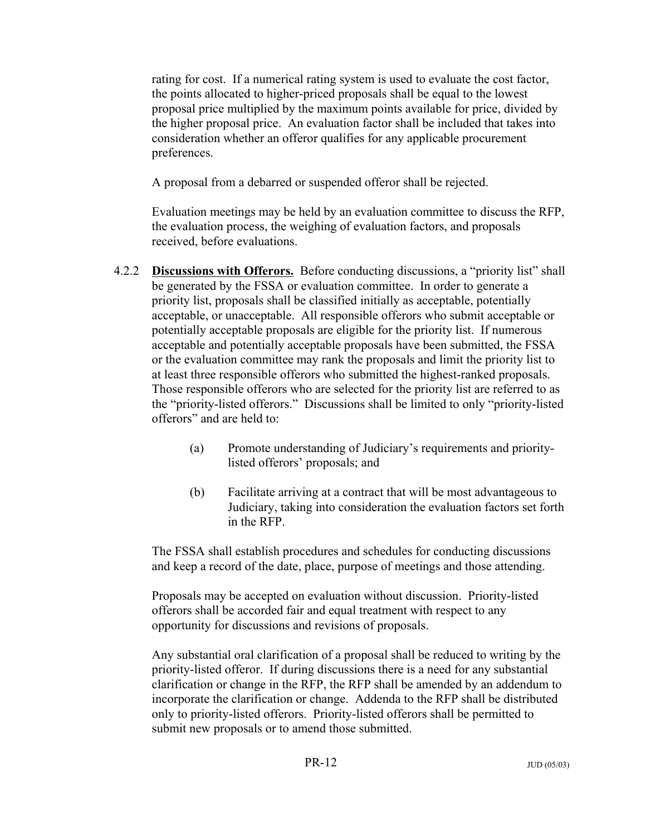rating for cost. If a numerical rating system is used to evaluate the cost factor, the points allocated to higher-priced proposals shall be equal to the lowest proposal price multiplied by the maximum points available for price, divided by the higher proposal price. An evaluation factor shall be included that takes into consideration whether an offeror qualifies for any applicable procurement preferences.

A proposal from a debarred or suspended offeror shall be rejected.

Evaluation meetings may be held by an evaluation committee to discuss the RFP, the evaluation process, the weighing of evaluation factors, and proposals received, before evaluations.

- 4.2.2 **Discussions with Offerors.** Before conducting discussions, a "priority list" shall be generated by the FSSA or evaluation committee. In order to generate a priority list, proposals shall be classified initially as acceptable, potentially acceptable, or unacceptable. All responsible offerors who submit acceptable or potentially acceptable proposals are eligible for the priority list. If numerous acceptable and potentially acceptable proposals have been submitted, the FSSA or the evaluation committee may rank the proposals and limit the priority list to at least three responsible offerors who submitted the highest-ranked proposals. Those responsible offerors who are selected for the priority list are referred to as the "priority-listed offerors." Discussions shall be limited to only "priority-listed offerors" and are held to:
	- (a) Promote understanding of Judiciary's requirements and prioritylisted offerors' proposals; and
	- (b) Facilitate arriving at a contract that will be most advantageous to Judiciary, taking into consideration the evaluation factors set forth in the RFP.

The FSSA shall establish procedures and schedules for conducting discussions and keep a record of the date, place, purpose of meetings and those attending.

Proposals may be accepted on evaluation without discussion. Priority-listed offerors shall be accorded fair and equal treatment with respect to any opportunity for discussions and revisions of proposals.

Any substantial oral clarification of a proposal shall be reduced to writing by the priority-listed offeror. If during discussions there is a need for any substantial clarification or change in the RFP, the RFP shall be amended by an addendum to incorporate the clarification or change. Addenda to the RFP shall be distributed only to priority-listed offerors. Priority-listed offerors shall be permitted to submit new proposals or to amend those submitted.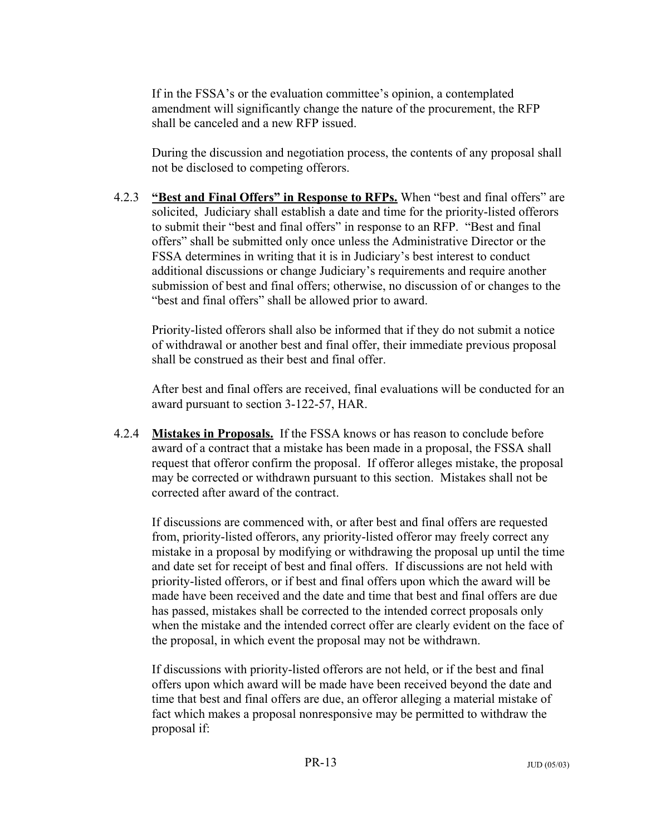If in the FSSA's or the evaluation committee's opinion, a contemplated amendment will significantly change the nature of the procurement, the RFP shall be canceled and a new RFP issued.

During the discussion and negotiation process, the contents of any proposal shall not be disclosed to competing offerors.

4.2.3 **"Best and Final Offers" in Response to RFPs.** When "best and final offers" are solicited, Judiciary shall establish a date and time for the priority-listed offerors to submit their "best and final offers" in response to an RFP. "Best and final offers" shall be submitted only once unless the Administrative Director or the FSSA determines in writing that it is in Judiciary's best interest to conduct additional discussions or change Judiciary's requirements and require another submission of best and final offers; otherwise, no discussion of or changes to the "best and final offers" shall be allowed prior to award.

Priority-listed offerors shall also be informed that if they do not submit a notice of withdrawal or another best and final offer, their immediate previous proposal shall be construed as their best and final offer.

After best and final offers are received, final evaluations will be conducted for an award pursuant to section 3-122-57, HAR.

4.2.4 **Mistakes in Proposals.** If the FSSA knows or has reason to conclude before award of a contract that a mistake has been made in a proposal, the FSSA shall request that offeror confirm the proposal. If offeror alleges mistake, the proposal may be corrected or withdrawn pursuant to this section. Mistakes shall not be corrected after award of the contract.

If discussions are commenced with, or after best and final offers are requested from, priority-listed offerors, any priority-listed offeror may freely correct any mistake in a proposal by modifying or withdrawing the proposal up until the time and date set for receipt of best and final offers. If discussions are not held with priority-listed offerors, or if best and final offers upon which the award will be made have been received and the date and time that best and final offers are due has passed, mistakes shall be corrected to the intended correct proposals only when the mistake and the intended correct offer are clearly evident on the face of the proposal, in which event the proposal may not be withdrawn.

If discussions with priority-listed offerors are not held, or if the best and final offers upon which award will be made have been received beyond the date and time that best and final offers are due, an offeror alleging a material mistake of fact which makes a proposal nonresponsive may be permitted to withdraw the proposal if: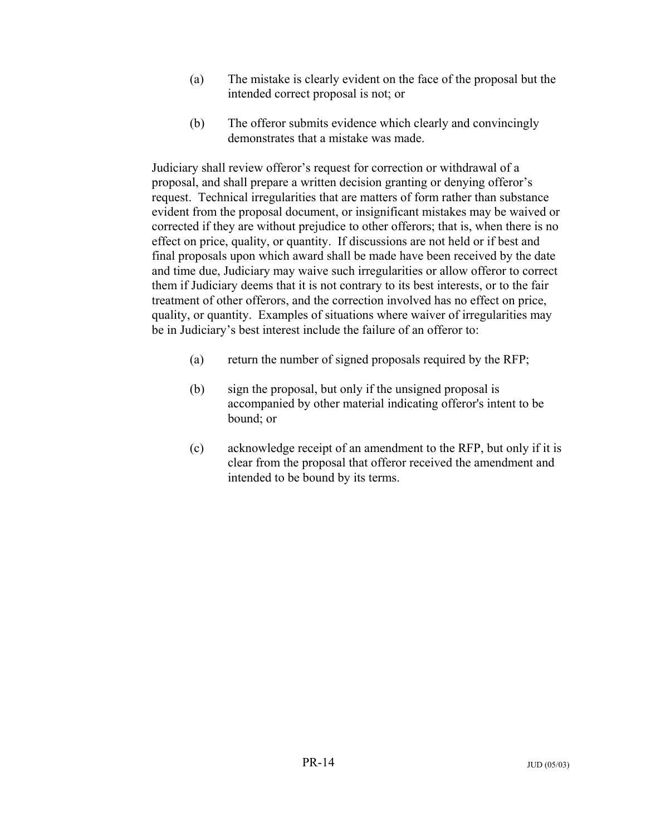- (a) The mistake is clearly evident on the face of the proposal but the intended correct proposal is not; or
- (b) The offeror submits evidence which clearly and convincingly demonstrates that a mistake was made.

Judiciary shall review offeror's request for correction or withdrawal of a proposal, and shall prepare a written decision granting or denying offeror's request. Technical irregularities that are matters of form rather than substance evident from the proposal document, or insignificant mistakes may be waived or corrected if they are without prejudice to other offerors; that is, when there is no effect on price, quality, or quantity. If discussions are not held or if best and final proposals upon which award shall be made have been received by the date and time due, Judiciary may waive such irregularities or allow offeror to correct them if Judiciary deems that it is not contrary to its best interests, or to the fair treatment of other offerors, and the correction involved has no effect on price, quality, or quantity. Examples of situations where waiver of irregularities may be in Judiciary's best interest include the failure of an offeror to:

- (a) return the number of signed proposals required by the RFP;
- (b) sign the proposal, but only if the unsigned proposal is accompanied by other material indicating offeror's intent to be bound; or
- (c) acknowledge receipt of an amendment to the RFP, but only if it is clear from the proposal that offeror received the amendment and intended to be bound by its terms.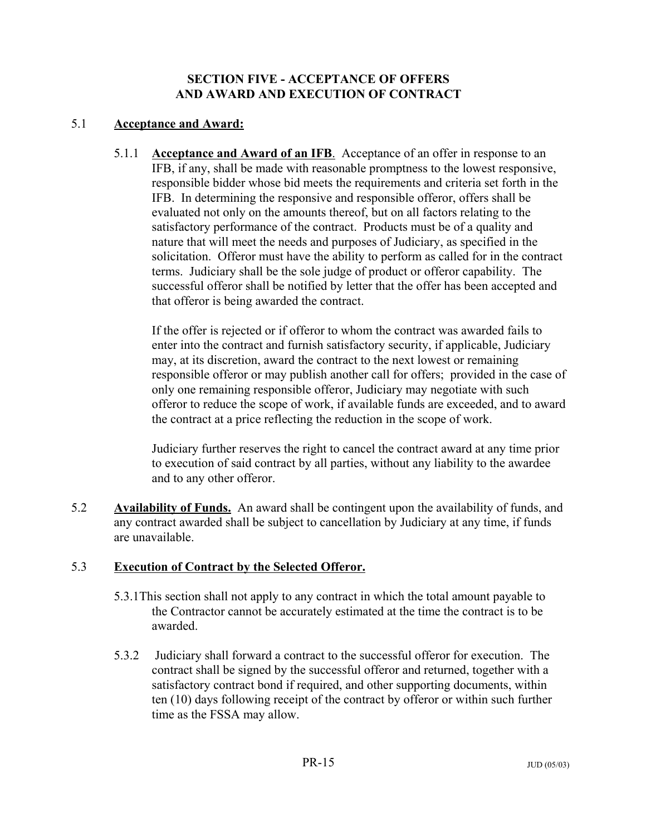### **SECTION FIVE - ACCEPTANCE OF OFFERS AND AWARD AND EXECUTION OF CONTRACT**

### 5.1 **Acceptance and Award:**

5.1.1 **Acceptance and Award of an IFB**. Acceptance of an offer in response to an IFB, if any, shall be made with reasonable promptness to the lowest responsive, responsible bidder whose bid meets the requirements and criteria set forth in the IFB. In determining the responsive and responsible offeror, offers shall be evaluated not only on the amounts thereof, but on all factors relating to the satisfactory performance of the contract. Products must be of a quality and nature that will meet the needs and purposes of Judiciary, as specified in the solicitation. Offeror must have the ability to perform as called for in the contract terms. Judiciary shall be the sole judge of product or offeror capability. The successful offeror shall be notified by letter that the offer has been accepted and that offeror is being awarded the contract.

If the offer is rejected or if offeror to whom the contract was awarded fails to enter into the contract and furnish satisfactory security, if applicable, Judiciary may, at its discretion, award the contract to the next lowest or remaining responsible offeror or may publish another call for offers; provided in the case of only one remaining responsible offeror, Judiciary may negotiate with such offeror to reduce the scope of work, if available funds are exceeded, and to award the contract at a price reflecting the reduction in the scope of work.

Judiciary further reserves the right to cancel the contract award at any time prior to execution of said contract by all parties, without any liability to the awardee and to any other offeror.

5.2 **Availability of Funds.** An award shall be contingent upon the availability of funds, and any contract awarded shall be subject to cancellation by Judiciary at any time, if funds are unavailable.

# 5.3 **Execution of Contract by the Selected Offeror.**

- 5.3.1This section shall not apply to any contract in which the total amount payable to the Contractor cannot be accurately estimated at the time the contract is to be awarded.
- 5.3.2 Judiciary shall forward a contract to the successful offeror for execution. The contract shall be signed by the successful offeror and returned, together with a satisfactory contract bond if required, and other supporting documents, within ten (10) days following receipt of the contract by offeror or within such further time as the FSSA may allow.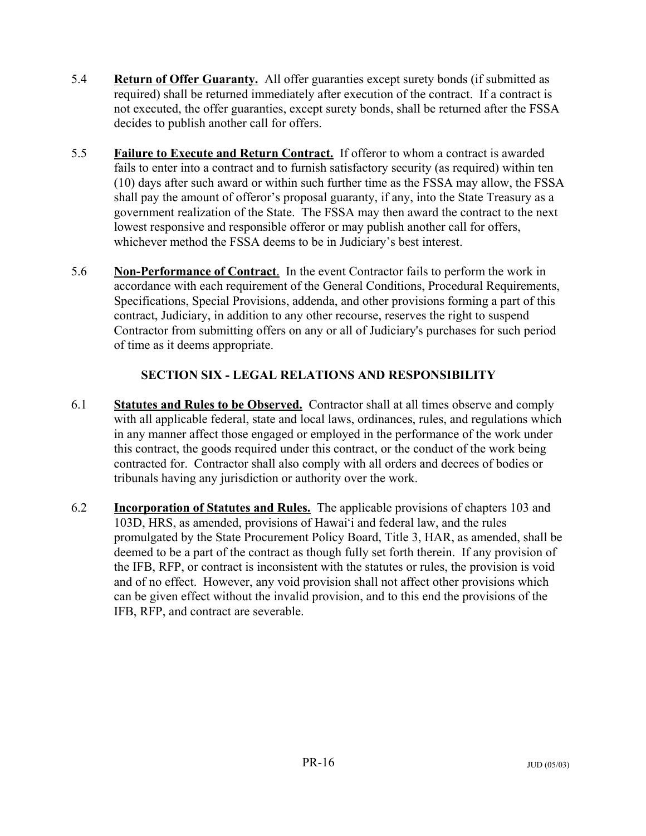- 5.4 **Return of Offer Guaranty.** All offer guaranties except surety bonds (if submitted as required) shall be returned immediately after execution of the contract. If a contract is not executed, the offer guaranties, except surety bonds, shall be returned after the FSSA decides to publish another call for offers.
- 5.5 **Failure to Execute and Return Contract.** If offeror to whom a contract is awarded fails to enter into a contract and to furnish satisfactory security (as required) within ten (10) days after such award or within such further time as the FSSA may allow, the FSSA shall pay the amount of offeror's proposal guaranty, if any, into the State Treasury as a government realization of the State. The FSSA may then award the contract to the next lowest responsive and responsible offeror or may publish another call for offers, whichever method the FSSA deems to be in Judiciary's best interest.
- 5.6 **Non-Performance of Contract**. In the event Contractor fails to perform the work in accordance with each requirement of the General Conditions, Procedural Requirements, Specifications, Special Provisions, addenda, and other provisions forming a part of this contract, Judiciary, in addition to any other recourse, reserves the right to suspend Contractor from submitting offers on any or all of Judiciary's purchases for such period of time as it deems appropriate.

# **SECTION SIX - LEGAL RELATIONS AND RESPONSIBILITY**

- 6.1 **Statutes and Rules to be Observed.** Contractor shall at all times observe and comply with all applicable federal, state and local laws, ordinances, rules, and regulations which in any manner affect those engaged or employed in the performance of the work under this contract, the goods required under this contract, or the conduct of the work being contracted for. Contractor shall also comply with all orders and decrees of bodies or tribunals having any jurisdiction or authority over the work.
- 6.2 **Incorporation of Statutes and Rules.** The applicable provisions of chapters 103 and 103D, HRS, as amended, provisions of Hawai'i and federal law, and the rules promulgated by the State Procurement Policy Board, Title 3, HAR, as amended, shall be deemed to be a part of the contract as though fully set forth therein. If any provision of the IFB, RFP, or contract is inconsistent with the statutes or rules, the provision is void and of no effect. However, any void provision shall not affect other provisions which can be given effect without the invalid provision, and to this end the provisions of the IFB, RFP, and contract are severable.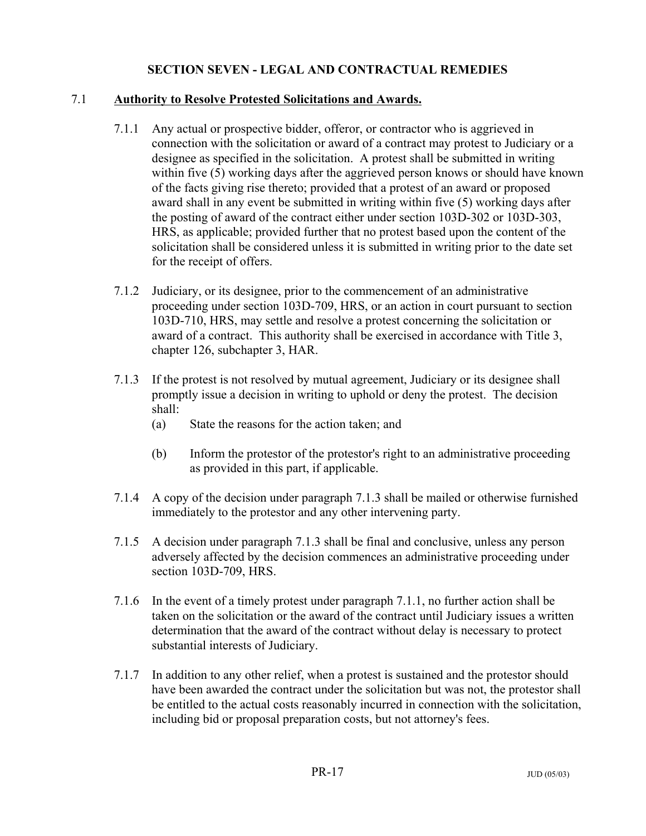### **SECTION SEVEN - LEGAL AND CONTRACTUAL REMEDIES**

#### 7.1 **Authority to Resolve Protested Solicitations and Awards.**

- 7.1.1 Any actual or prospective bidder, offeror, or contractor who is aggrieved in connection with the solicitation or award of a contract may protest to Judiciary or a designee as specified in the solicitation. A protest shall be submitted in writing within five (5) working days after the aggrieved person knows or should have known of the facts giving rise thereto; provided that a protest of an award or proposed award shall in any event be submitted in writing within five (5) working days after the posting of award of the contract either under section 103D-302 or 103D-303, HRS, as applicable; provided further that no protest based upon the content of the solicitation shall be considered unless it is submitted in writing prior to the date set for the receipt of offers.
- 7.1.2 Judiciary, or its designee, prior to the commencement of an administrative proceeding under section 103D-709, HRS, or an action in court pursuant to section 103D-710, HRS, may settle and resolve a protest concerning the solicitation or award of a contract. This authority shall be exercised in accordance with Title 3, chapter 126, subchapter 3, HAR.
- 7.1.3 If the protest is not resolved by mutual agreement, Judiciary or its designee shall promptly issue a decision in writing to uphold or deny the protest. The decision shall:
	- (a) State the reasons for the action taken; and
	- (b) Inform the protestor of the protestor's right to an administrative proceeding as provided in this part, if applicable.
- 7.1.4 A copy of the decision under paragraph 7.1.3 shall be mailed or otherwise furnished immediately to the protestor and any other intervening party.
- 7.1.5 A decision under paragraph 7.1.3 shall be final and conclusive, unless any person adversely affected by the decision commences an administrative proceeding under section 103D-709, HRS.
- 7.1.6 In the event of a timely protest under paragraph 7.1.1, no further action shall be taken on the solicitation or the award of the contract until Judiciary issues a written determination that the award of the contract without delay is necessary to protect substantial interests of Judiciary.
- 7.1.7 In addition to any other relief, when a protest is sustained and the protestor should have been awarded the contract under the solicitation but was not, the protestor shall be entitled to the actual costs reasonably incurred in connection with the solicitation, including bid or proposal preparation costs, but not attorney's fees.